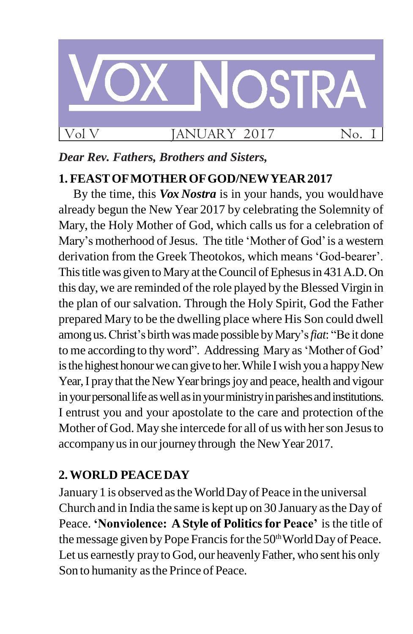

## *Dear Rev. Fathers, Brothers and Sisters,*

## **1. FEASTOFMOTHEROFGOD/NEWYEAR2017**

By the time, this *Vox Nostra* is in your hands, you wouldhave already begun the New Year 2017 by celebrating the Solemnity of Mary, the Holy Mother of God, which calls us for a celebration of Mary's motherhood of Jesus. The title 'Mother of God' is a western derivation from the Greek Theotokos, which means "God-bearer". This title was given to Mary at the Council of Ephesus in 431 A.D. On this day, we are reminded of the role played by the Blessed Virgin in the plan of our salvation. Through the Holy Spirit, God the Father prepared Mary to be the dwelling place where His Son could dwell among us.Christ"s birthwasmade possible byMary"s*fiat*: "Be it done to me according to thy word". Addressing Mary as 'Mother of God' is the highest honour we can give to her. While I wish you a happy New Year, I pray that the New Year brings joy and peace, health and vigour in your personal life as well as in your ministry in parishes and institutions. I entrust you and your apostolate to the care and protection ofthe Mother of God. May she intercede for all of us with her son Jesus to accompany us in our journey through the New Year 2017.

# **2.WORLD PEACEDAY**

January 1 is observed astheWorldDay of Peace in the universal Church and in India the same is kept up on 30 January asthe Day of Peace. **"Nonviolence: A Style of Politics for Peace"** is the title of the message given by Pope Francis for the 50<sup>th</sup> World Day of Peace. Let us earnestly pray to God, our heavenly Father, who sent his only Son to humanity as the Prince of Peace.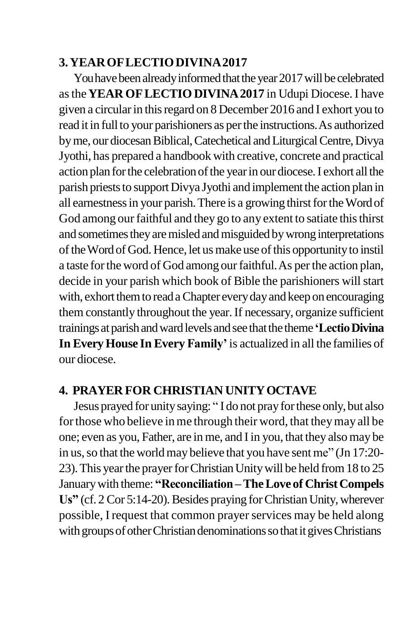#### **3.YEAROFLECTIODIVINA2017**

You have been already informed that the year 2017 will be celebrated asthe**YEAR OFLECTIODIVINA2017** in Udupi Diocese. I have given a circularin thisregard on 8 December 2016 and I exhort you to read it in full to your parishioners as per the instructions. As authorized by me, our diocesan Biblical, Catechetical and Liturgical Centre, Divya Jyothi, has prepared a handbook with creative, concrete and practical action plan for the celebration of the year in our diocese. I exhort all the parish priests to support Divya Jyothi and implement the action plan in all earnestness in your parish. There is a growing thirst for the Word of God among our faithful and they go to any extent to satiate this thirst and sometimes they are misled and misguided by wrong interpretations of the Word of God. Hence, let us make use of this opportunity to instil a taste for the word of God among our faithful. As per the action plan, decide in your parish which book of Bible the parishioners will start with, exhort them to read a Chapter every day and keep on encouraging them constantly throughout the year.If necessary, organize sufficient trainings at parish and ward levels and see that the theme 'Lectio Divina **In EveryHouse In Every Family"**is actualized in all the families of our diocese.

### **4. PRAYER FOR CHRISTIAN UNITYOCTAVE**

Jesus prayed for unitysaying: " I do not prayforthese only,but also for those who believe in me through their word, that they may all be one; even as you, Father, are in me, and Iin you, that they alsomay be in us, so that the world may believe that you have sent me" (Jn 17:20-23). This year the prayer for Christian Unity will be held from 18 to 25 Januarywith theme: **"Reconciliation–TheLove of ChristCompels**  Us" (cf. 2 Cor 5:14-20). Besides praying for Christian Unity, wherever possible, I request that common prayer services may be held along with groups of other Christian denominations so that it gives Christians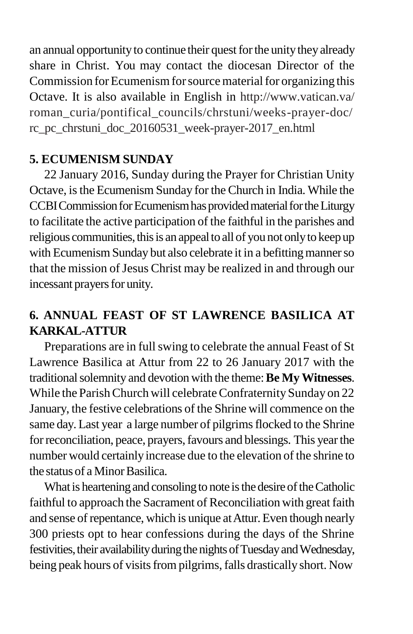an annual opportunity to continue their quest for the unity they already share in Christ. You may contact the diocesan Director of the Commission for Ecumenism for source material for organizing this Octave. It is also available in English in<http://www.vatican.va/> roman\_curia/pontifical\_councils/chrstuni/weeks-prayer-doc/ rc\_pc\_chrstuni\_doc\_20160531\_week-prayer-2017\_en.html

## **5. ECUMENISM SUNDAY**

22 January 2016, Sunday during the Prayer for Christian Unity Octave, isthe Ecumenism Sunday for the Church in India. While the CCBI Commission for Ecumenism has provided material for the Liturgy to facilitate the active participation of the faithful in the parishes and religious communities, this is an appeal to all of you not only to keep up with Ecumenism Sunday but also celebrate it in a befitting manner so that the mission of Jesus Christ may be realized in and through our incessant prayers for unity.

# **6. ANNUAL FEAST OF ST LAWRENCE BASILICA AT KARKAL-ATTUR**

Preparations are in full swing to celebrate the annual Feast of St Lawrence Basilica at Attur from 22 to 26 January 2017 with the traditionalsolemnity and devotion with the theme:**Be My Witnesses**. While the Parish Church will celebrate Confraternity Sunday on 22 January, the festive celebrations of the Shrine will commence on the same day. Last year a large number of pilgrims flocked to the Shrine for reconciliation, peace, prayers, favours and blessings. This year the number would certainly increase due to the elevation of the shrine to the status of a Minor Basilica.

What is heartening and consoling to note is the desire of the Catholic faithful to approach the Sacrament of Reconciliation with great faith and sense of repentance, which is unique at Attur. Even though nearly 300 priests opt to hear confessions during the days of the Shrine festivities, their availability during the nights of Tuesday and Wednesday, being peak hours of visits from pilgrims, falls drastically short. Now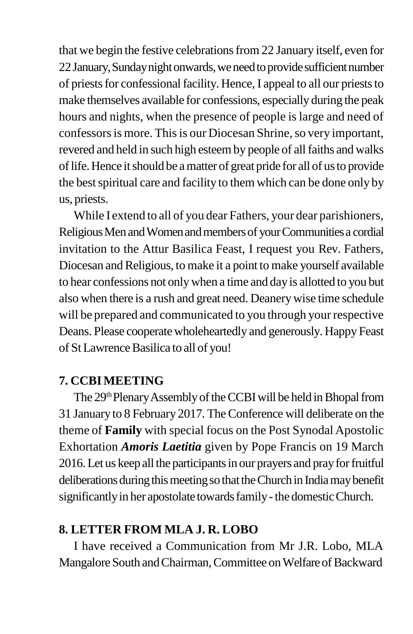that we begin the festive celebrationsfrom 22 January itself, even for 22 January, Sunday night onwards, we need to provide sufficient number of priestsfor confessionalfacility. Hence, I appeal to all our prieststo make themselves available for confessions, especially during the peak hours and nights, when the presence of people is large and need of confessors is more. This is our Diocesan Shrine, so very important, revered and held in such high esteemby people of allfaiths and walks of life. Hence it should be a matter of great pride for all of us to provide the best spiritual care and facility to them which can be done only by us, priests.

While I extend to all of you dear Fathers, your dear parishioners, Religious Men and Women and members of your Communities a cordial invitation to the Attur Basilica Feast, I request you Rev. Fathers, Diocesan and Religious, to make it a point to make yourself available to hear confessions not onlywhen a time and dayis allotted to you but also when there is a rush and great need. Deanerywise time schedule will be prepared and communicated to you through your respective Deans. Please cooperate wholeheartedly and generously. Happy Feast of St Lawrence Basilica to all of you!

#### **7. CCBIMEETING**

The 29<sup>th</sup> Plenary Assembly of the CCBI will be held in Bhopal from 31 January to 8 February 2017. TheConference will deliberate on the theme of **Family** with special focus on the Post Synodal Apostolic Exhortation *Amoris Laetitia* given by Pope Francis on 19 March 2016.Let us keep all the participantsin our prayers and prayforfruitful deliberations during this meeting so that the Church in India may benefit significantly in her apostolate towards family - the domestic Church.

#### **8. LETTER FROM MLA J. R. LOBO**

I have received a Communication from Mr J.R. Lobo, MLA Mangalore South and Chairman, Committee on Welfare of Backward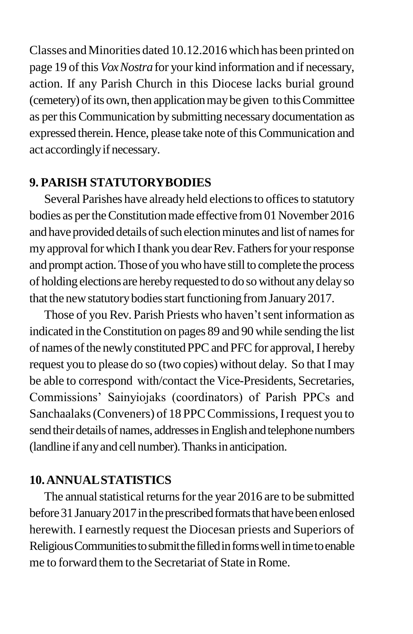Classes andMinorities dated 10.12.2016which has been printed on page 19 of this *VoxNostra* for your kind information and if necessary, action. If any Parish Church in this Diocese lacks burial ground (cemetery) of its own, then application may be given to this Committee as perthisCommunication by submitting necessary documentation as expressed therein. Hence, please take note of this Communication and act accordinglyif necessary.

### **9. PARISH STATUTORYBODIES**

Several Parishes have already held elections to offices to statutory bodies as per the Constitution made effective from 01 November 2016 and have provided details of such election minutes and list of names for my approval for which I thank you dear Rev. Fathers for your response and prompt action. Those of you who have still to complete the process of holding elections are hereby requested to do so without any delay so that the new statutory bodies start functioning from January 2017.

Those of you Rev. Parish Priests who haven't sent information as indicated in theConstitution on pages 89 and 90 while sending the list of names of the newly constituted PPC and PFC for approval, I hereby request you to please do so (two copies) without delay. So that I may be able to correspond with/contact the Vice-Presidents, Secretaries, Commissions" Sainyiojaks (coordinators) of Parish PPCs and Sanchaalaks (Conveners) of 18 PPC Commissions, I request you to send their details of names, addresses in English and telephone numbers (landline if any and cell number). Thanks in anticipation.

### **10.ANNUALSTATISTICS**

The annual statistical returns for the year 2016 are to be submitted before 31 January 2017 in the prescribed formats that have been enlosed herewith. I earnestly request the Diocesan priests and Superiors of Religious Communities to submit the filled in forms well in time to enable me to forward them to the Secretariat of State in Rome.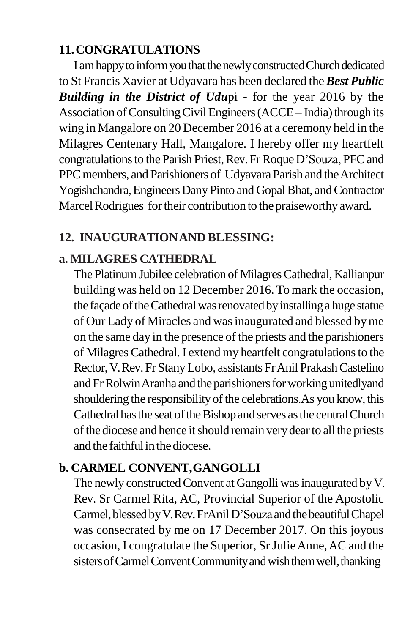## **11.CONGRATULATIONS**

I am happy to inform you that the newly constructed Church dedicated to St Francis Xavier at Udyavara has been declared the *Best Public Building in the District of Udu*pi - for the year 2016 by the Association of Consulting Civil Engineers (ACCE – India) through its wing in Mangalore on 20 December 2016 at a ceremony held in the Milagres Centenary Hall, Mangalore. I hereby offer my heartfelt congratulations to the Parish Priest, Rev. Fr Roque D'Souza, PFC and PPC members, and Parishioners of Udyavara Parish and the Architect Yogishchandra, Engineers Dany Pinto and Gopal Bhat, and Contractor Marcel Rodrigues for their contribution to the praiseworthy award.

### **12. INAUGURATIONAND BLESSING:**

### **a. MILAGRES CATHEDRAL**

The Platinum Jubilee celebration of Milagres Cathedral, Kallianpur building was held on 12 December 2016. Tomark the occasion, the façade of the Cathedral was renovated by installing a huge statue of Our Lady of Miracles and wasinaugurated and blessed byme on the same day in the presence of the priests and the parishioners of Milagres Cathedral. I extend my heartfelt congratulationsto the Rector,V.Rev.Fr StanyLobo, assistants FrAnil PrakashCastelino and Fr Rolwin Aranha and the parishioners for working unitedlyand shouldering the responsibility of the celebrations. As you know, this Cathedral has the seat of the Bishop and serves as the central Church of the diocese and hence it should remain very dear to all the priests and the faithful in the diocese.

## **b. CARMEL CONVENT,GANGOLLI**

The newly constructed Convent at Gangolli was inaugurated by V. Rev. Sr Carmel Rita, AC, Provincial Superior of the Apostolic Carmel, blessed by V.Rev. FrAnil D'Souza and the beautiful Chapel was consecrated by me on 17 December 2017. On this joyous occasion, I congratulate the Superior, Sr Julie Anne, AC and the sisters of Carmel Convent Community and wish them well, thanking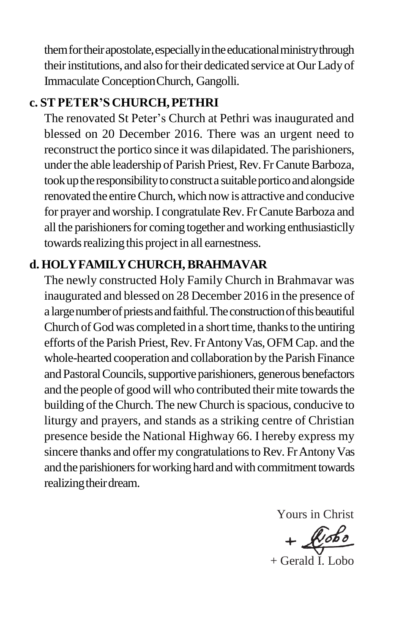them for their apostolate, especially in the educational ministry through their institutions, and also for their dedicated service at Our Lady of Immaculate ConceptionChurch, Gangolli.

### **c. STPETER"S CHURCH,PETHRI**

The renovated St Peter"s Church at Pethri was inaugurated and blessed on 20 December 2016. There was an urgent need to reconstruct the portico since it was dilapidated. The parishioners, under the able leadership of Parish Priest, Rev. Fr Canute Barboza, took up the responsibility to construct a suitable portico and alongside renovated the entireChurch,which nowis attractive and conducive for prayer and worship. I congratulate Rev. Fr Canute Barboza and all the parishioners for coming together and working enthusiasticlly towards realizing this project in all earnestness.

## **d. HOLYFAMILYCHURCH,BRAHMAVAR**

The newly constructed Holy Family Church in Brahmavar was inaugurated and blessed on 28 December 2016 in the presence of a large number of priests and faithful. The construction of this beautiful Church of God was completed in a short time, thanks to the untiring efforts of the Parish Priest, Rev. Fr Antony Vas, OFM Cap. and the whole-hearted cooperation and collaboration by the Parish Finance and Pastoral Councils, supportive parishioners, generous benefactors and the people of good will who contributed their mite towards the building of the Church. The new Church is spacious, conducive to liturgy and prayers, and stands as a striking centre of Christian presence beside the National Highway 66. I hereby express my sincere thanks and offer my congratulations to Rev. Fr Antony Vas and the parishioners for working hard and with commitment towards realizing their dream.

> Yours in Christ  $+$  $x$ + Gerald I. Lobo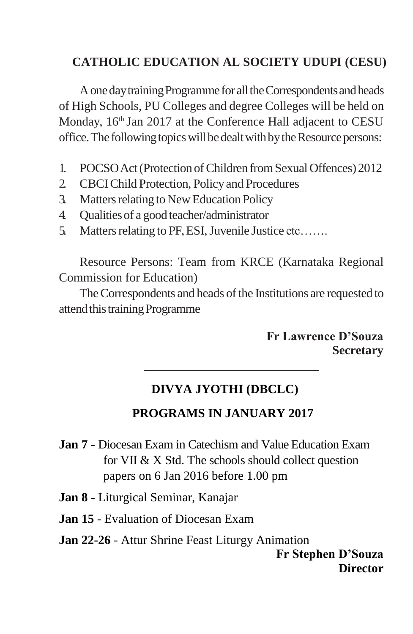### **CATHOLIC EDUCATION AL SOCIETY UDUPI (CESU)**

A one day training Programme for all the Correspondents and heads of High Schools, PU Colleges and degree Colleges will be held on Monday, 16<sup>th</sup> Jan 2017 at the Conference Hall adjacent to CESU office. The following topics will be dealt with by the Resource persons:

- 1. POCSO Act (Protection of Children from Sexual Offences) 2012
- 2. CBCIChild Protection, Policy and Procedures
- 3. Matters relating to New Education Policy
- 4. Qualitiesof a good teacher/administrator
- 5. Matters relating to PF, ESI, Juvenile Justice etc…….

Resource Persons: Team from KRCE (Karnataka Regional Commission for Education)

The Correspondents and heads of the Institutions are requested to attend this training Programme

#### **Fr Lawrence D"Souza Secretary**

# **DIVYA JYOTHI (DBCLC)**

# **PROGRAMS IN JANUARY 2017**

- **Jan 7**  Diocesan Exam in Catechism and Value Education Exam for VII & X Std. The schools should collect question papers on 6 Jan 2016 before 1.00 pm
- **Jan 8**  Liturgical Seminar, Kanajar
- **Jan 15**  Evaluation of Diocesan Exam
- **Jan 22-26**  Attur Shrine Feast Liturgy Animation **Fr Stephen D"Souza Director**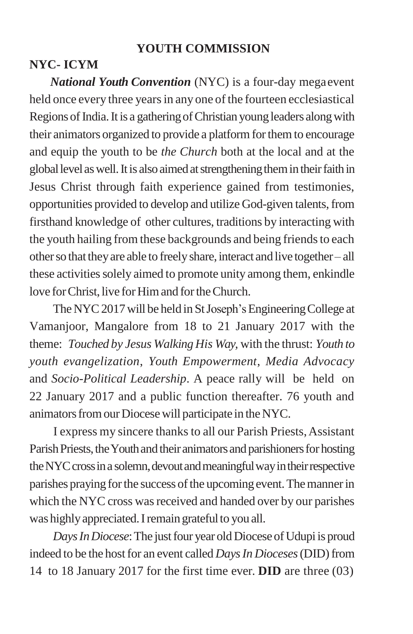### **YOUTH COMMISSION**

### **NYC- ICYM**

*National Youth Convention* (NYC) is a four-day megaevent held once every three years in any one of the fourteen ecclesiastical Regions of India. It is a gathering of Christian young leaders along with their animators organized to provide a platform for them to encourage and equip the youth to be *the Church* both at the local and at the global level as well. It is also aimed at strengthening them in their faith in Jesus Christ through faith experience gained from testimonies, opportunities provided to develop and utilize God-given talents,from firsthand knowledge of other cultures, traditions by interacting with the youth hailing from these backgrounds and being friends to each other so that they are able to freely share, interact and live together– all these activities solely aimed to promote unity among them, enkindle love for Christ, live for Him and for the Church.

The NYC 2017 will be held in St Joseph's Engineering College at Vamanjoor, Mangalore from 18 to 21 January 2017 with the theme: *Touched by Jesus Walking His Way,* with the thrust: *Youth to youth evangelization*, *Youth Empowerment*, *Media Advocacy*  and *Socio-Political Leadership*. A peace rally will be held on 22 January 2017 and a public function thereafter. 76 youth and animators from our Diocese will participate in the NYC.

I express my sincere thanksto all our Parish Priests,Assistant Parish Priests, the Youth and their animators and parishioners for hosting the NYC cross in a solemn, devout and meaningful way in their respective parishes praying for the success of the upcoming event. The manner in which the NYC cross was received and handed over by our parishes was highly appreciated. I remain grateful to you all.

*Days In Diocese*: The just four year old Diocese of Udupi is proud indeed to be the host for an event called *Days In Dioceses* (DID) from 14 to 18 January 2017 for the first time ever. **DID** are three (03)